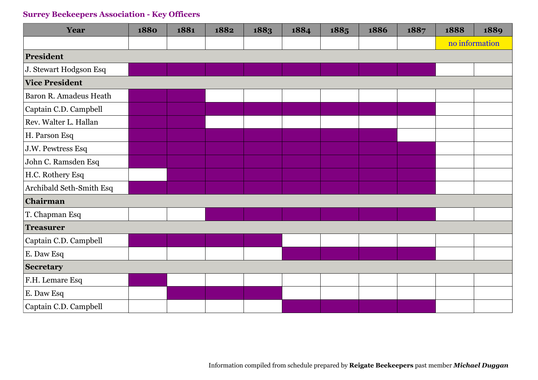| Year                     | 1880 | 1881 | 1882 | 1883 | 1884 | 1885 | 1886 | 1887 | 1888           | 1889 |
|--------------------------|------|------|------|------|------|------|------|------|----------------|------|
|                          |      |      |      |      |      |      |      |      | no information |      |
| President                |      |      |      |      |      |      |      |      |                |      |
| J. Stewart Hodgson Esq   |      |      |      |      |      |      |      |      |                |      |
| <b>Vice President</b>    |      |      |      |      |      |      |      |      |                |      |
| Baron R. Amadeus Heath   |      |      |      |      |      |      |      |      |                |      |
| Captain C.D. Campbell    |      |      |      |      |      |      |      |      |                |      |
| Rev. Walter L. Hallan    |      |      |      |      |      |      |      |      |                |      |
| H. Parson Esq            |      |      |      |      |      |      |      |      |                |      |
| J.W. Pewtress Esq        |      |      |      |      |      |      |      |      |                |      |
| John C. Ramsden Esq      |      |      |      |      |      |      |      |      |                |      |
| H.C. Rothery Esq         |      |      |      |      |      |      |      |      |                |      |
| Archibald Seth-Smith Esq |      |      |      |      |      |      |      |      |                |      |
| Chairman                 |      |      |      |      |      |      |      |      |                |      |
| T. Chapman Esq           |      |      |      |      |      |      |      |      |                |      |
| <b>Treasurer</b>         |      |      |      |      |      |      |      |      |                |      |
| Captain C.D. Campbell    |      |      |      |      |      |      |      |      |                |      |
| E. Daw Esq               |      |      |      |      |      |      |      |      |                |      |
| <b>Secretary</b>         |      |      |      |      |      |      |      |      |                |      |
| F.H. Lemare Esq          |      |      |      |      |      |      |      |      |                |      |
| E. Daw Esq               |      |      |      |      |      |      |      |      |                |      |
| Captain C.D. Campbell    |      |      |      |      |      |      |      |      |                |      |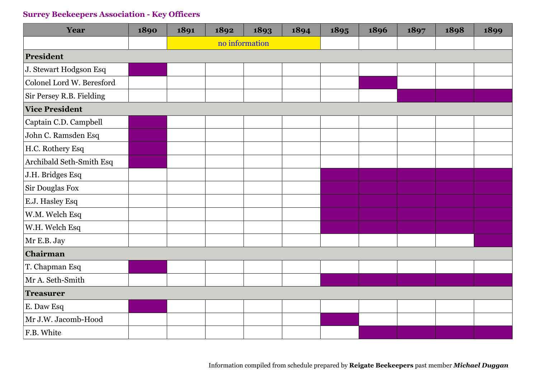| Year                      | 1890 | 1891 | 1892           | 1893 | 1894 | 1895 | 1896 | 1897 | 1898 | 1899 |
|---------------------------|------|------|----------------|------|------|------|------|------|------|------|
|                           |      |      | no information |      |      |      |      |      |      |      |
| President                 |      |      |                |      |      |      |      |      |      |      |
| J. Stewart Hodgson Esq    |      |      |                |      |      |      |      |      |      |      |
| Colonel Lord W. Beresford |      |      |                |      |      |      |      |      |      |      |
| Sir Persey R.B. Fielding  |      |      |                |      |      |      |      |      |      |      |
| <b>Vice President</b>     |      |      |                |      |      |      |      |      |      |      |
| Captain C.D. Campbell     |      |      |                |      |      |      |      |      |      |      |
| John C. Ramsden Esq       |      |      |                |      |      |      |      |      |      |      |
| H.C. Rothery Esq          |      |      |                |      |      |      |      |      |      |      |
| Archibald Seth-Smith Esq  |      |      |                |      |      |      |      |      |      |      |
| J.H. Bridges Esq          |      |      |                |      |      |      |      |      |      |      |
| Sir Douglas Fox           |      |      |                |      |      |      |      |      |      |      |
| E.J. Hasley Esq           |      |      |                |      |      |      |      |      |      |      |
| W.M. Welch Esq            |      |      |                |      |      |      |      |      |      |      |
| W.H. Welch Esq            |      |      |                |      |      |      |      |      |      |      |
| Mr E.B. Jay               |      |      |                |      |      |      |      |      |      |      |
| Chairman                  |      |      |                |      |      |      |      |      |      |      |
| T. Chapman Esq            |      |      |                |      |      |      |      |      |      |      |
| Mr A. Seth-Smith          |      |      |                |      |      |      |      |      |      |      |
| <b>Treasurer</b>          |      |      |                |      |      |      |      |      |      |      |
| E. Daw Esq                |      |      |                |      |      |      |      |      |      |      |
| Mr J.W. Jacomb-Hood       |      |      |                |      |      |      |      |      |      |      |
| F.B. White                |      |      |                |      |      |      |      |      |      |      |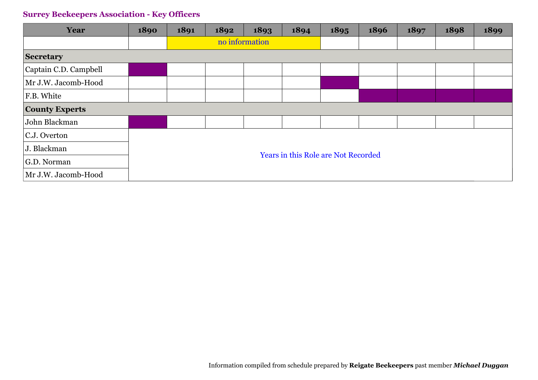| Year                  | 1890 | 1891                                       | 1892           | 1893 | 1894 | 1895 | 1896 | 1897 | 1898 | 1899 |
|-----------------------|------|--------------------------------------------|----------------|------|------|------|------|------|------|------|
|                       |      |                                            | no information |      |      |      |      |      |      |      |
| <b>Secretary</b>      |      |                                            |                |      |      |      |      |      |      |      |
| Captain C.D. Campbell |      |                                            |                |      |      |      |      |      |      |      |
| Mr J.W. Jacomb-Hood   |      |                                            |                |      |      |      |      |      |      |      |
| F.B. White            |      |                                            |                |      |      |      |      |      |      |      |
| <b>County Experts</b> |      |                                            |                |      |      |      |      |      |      |      |
| John Blackman         |      |                                            |                |      |      |      |      |      |      |      |
| C.J. Overton          |      |                                            |                |      |      |      |      |      |      |      |
| J. Blackman           |      |                                            |                |      |      |      |      |      |      |      |
| G.D. Norman           |      | <b>Years in this Role are Not Recorded</b> |                |      |      |      |      |      |      |      |
| Mr J.W. Jacomb-Hood   |      |                                            |                |      |      |      |      |      |      |      |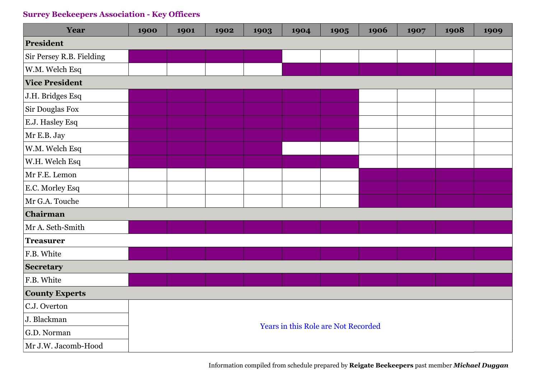| Year                     | 1900 | 1901 | 1902 | 1903 | 1904                                       | 1905 | 1906 | 1907 | 1908 | 1909 |
|--------------------------|------|------|------|------|--------------------------------------------|------|------|------|------|------|
| President                |      |      |      |      |                                            |      |      |      |      |      |
| Sir Persey R.B. Fielding |      |      |      |      |                                            |      |      |      |      |      |
| W.M. Welch Esq           |      |      |      |      |                                            |      |      |      |      |      |
| <b>Vice President</b>    |      |      |      |      |                                            |      |      |      |      |      |
| J.H. Bridges Esq         |      |      |      |      |                                            |      |      |      |      |      |
| Sir Douglas Fox          |      |      |      |      |                                            |      |      |      |      |      |
| E.J. Hasley Esq          |      |      |      |      |                                            |      |      |      |      |      |
| Mr E.B. Jay              |      |      |      |      |                                            |      |      |      |      |      |
| W.M. Welch Esq           |      |      |      |      |                                            |      |      |      |      |      |
| W.H. Welch Esq           |      |      |      |      |                                            |      |      |      |      |      |
| Mr F.E. Lemon            |      |      |      |      |                                            |      |      |      |      |      |
| E.C. Morley Esq          |      |      |      |      |                                            |      |      |      |      |      |
| Mr G.A. Touche           |      |      |      |      |                                            |      |      |      |      |      |
| Chairman                 |      |      |      |      |                                            |      |      |      |      |      |
| Mr A. Seth-Smith         |      |      |      |      |                                            |      |      |      |      |      |
| <b>Treasurer</b>         |      |      |      |      |                                            |      |      |      |      |      |
| F.B. White               |      |      |      |      |                                            |      |      |      |      |      |
| <b>Secretary</b>         |      |      |      |      |                                            |      |      |      |      |      |
| F.B. White               |      |      |      |      |                                            |      |      |      |      |      |
| <b>County Experts</b>    |      |      |      |      |                                            |      |      |      |      |      |
| C.J. Overton             |      |      |      |      |                                            |      |      |      |      |      |
| J. Blackman              |      |      |      |      | <b>Years in this Role are Not Recorded</b> |      |      |      |      |      |
| G.D. Norman              |      |      |      |      |                                            |      |      |      |      |      |
| Mr J.W. Jacomb-Hood      |      |      |      |      |                                            |      |      |      |      |      |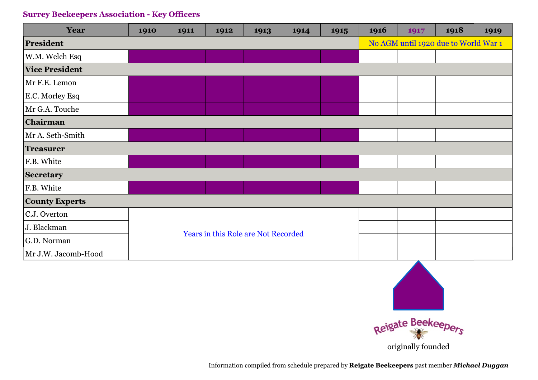| Year                  | 1910 | 1911 | 1912 | 1913                                       | 1914 | 1915 | 1916 | 1917 | 1918                                 | 1919 |
|-----------------------|------|------|------|--------------------------------------------|------|------|------|------|--------------------------------------|------|
| <b>President</b>      |      |      |      |                                            |      |      |      |      | No AGM until 1920 due to World War 1 |      |
| W.M. Welch Esq        |      |      |      |                                            |      |      |      |      |                                      |      |
| <b>Vice President</b> |      |      |      |                                            |      |      |      |      |                                      |      |
| Mr F.E. Lemon         |      |      |      |                                            |      |      |      |      |                                      |      |
| E.C. Morley Esq       |      |      |      |                                            |      |      |      |      |                                      |      |
| Mr G.A. Touche        |      |      |      |                                            |      |      |      |      |                                      |      |
| Chairman              |      |      |      |                                            |      |      |      |      |                                      |      |
| Mr A. Seth-Smith      |      |      |      |                                            |      |      |      |      |                                      |      |
| <b>Treasurer</b>      |      |      |      |                                            |      |      |      |      |                                      |      |
| F.B. White            |      |      |      |                                            |      |      |      |      |                                      |      |
| <b>Secretary</b>      |      |      |      |                                            |      |      |      |      |                                      |      |
| F.B. White            |      |      |      |                                            |      |      |      |      |                                      |      |
| <b>County Experts</b> |      |      |      |                                            |      |      |      |      |                                      |      |
| C.J. Overton          |      |      |      |                                            |      |      |      |      |                                      |      |
| J. Blackman           |      |      |      | <b>Years in this Role are Not Recorded</b> |      |      |      |      |                                      |      |
| G.D. Norman           |      |      |      |                                            |      |      |      |      |                                      |      |
| Mr J.W. Jacomb-Hood   |      |      |      |                                            |      |      |      |      |                                      |      |



originally founded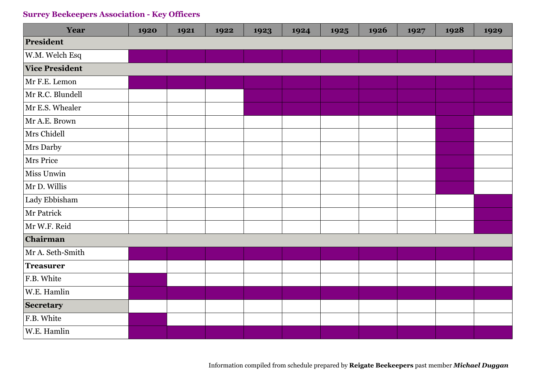| Year                  | 1920 | 1921 | 1922 | 1923 | 1924 | 1925 | 1926 | 1927 | 1928 | 1929 |
|-----------------------|------|------|------|------|------|------|------|------|------|------|
| President             |      |      |      |      |      |      |      |      |      |      |
| W.M. Welch Esq        |      |      |      |      |      |      |      |      |      |      |
| <b>Vice President</b> |      |      |      |      |      |      |      |      |      |      |
| Mr F.E. Lemon         |      |      |      |      |      |      |      |      |      |      |
| Mr R.C. Blundell      |      |      |      |      |      |      |      |      |      |      |
| Mr E.S. Whealer       |      |      |      |      |      |      |      |      |      |      |
| Mr A.E. Brown         |      |      |      |      |      |      |      |      |      |      |
| Mrs Chidell           |      |      |      |      |      |      |      |      |      |      |
| Mrs Darby             |      |      |      |      |      |      |      |      |      |      |
| <b>Mrs Price</b>      |      |      |      |      |      |      |      |      |      |      |
| Miss Unwin            |      |      |      |      |      |      |      |      |      |      |
| Mr D. Willis          |      |      |      |      |      |      |      |      |      |      |
| Lady Ebbisham         |      |      |      |      |      |      |      |      |      |      |
| Mr Patrick            |      |      |      |      |      |      |      |      |      |      |
| Mr W.F. Reid          |      |      |      |      |      |      |      |      |      |      |
| Chairman              |      |      |      |      |      |      |      |      |      |      |
| Mr A. Seth-Smith      |      |      |      |      |      |      |      |      |      |      |
| <b>Treasurer</b>      |      |      |      |      |      |      |      |      |      |      |
| F.B. White            |      |      |      |      |      |      |      |      |      |      |
| W.E. Hamlin           |      |      |      |      |      |      |      |      |      |      |
| Secretary             |      |      |      |      |      |      |      |      |      |      |
| F.B. White            |      |      |      |      |      |      |      |      |      |      |
| W.E. Hamlin           |      |      |      |      |      |      |      |      |      |      |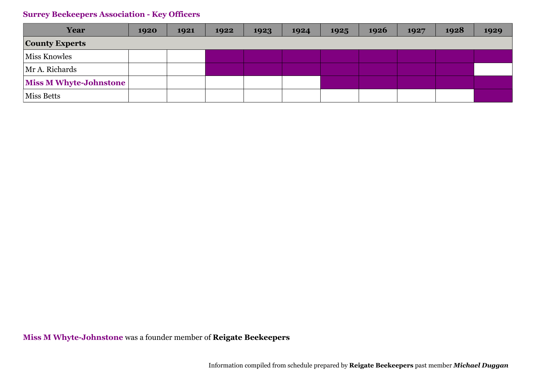| Year                   | 1920 | 1921 | 1922 | 1923 | 1924 | 1925 | 1926 | 1927 | 1928 | 1929 |
|------------------------|------|------|------|------|------|------|------|------|------|------|
| <b>County Experts</b>  |      |      |      |      |      |      |      |      |      |      |
| <b>Miss Knowles</b>    |      |      |      |      |      |      |      |      |      |      |
| Mr A. Richards         |      |      |      |      |      |      |      |      |      |      |
| Miss M Whyte-Johnstone |      |      |      |      |      |      |      |      |      |      |
| Miss Betts             |      |      |      |      |      |      |      |      |      |      |

**Miss M Whyte-Johnstone** was a founder member of **Reigate Beekeepers**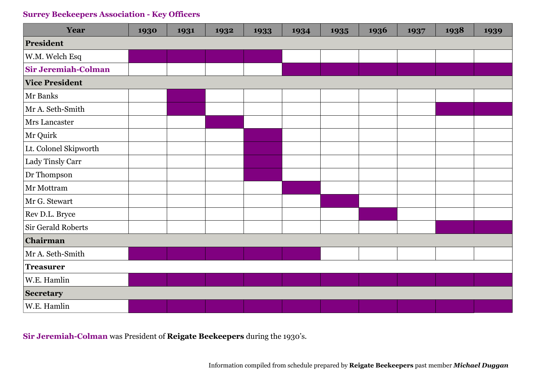| Year                       | 1930 | 1931 | 1932 | 1933 | 1934 | 1935 | 1936 | 1937 | 1938 | 1939 |
|----------------------------|------|------|------|------|------|------|------|------|------|------|
| President                  |      |      |      |      |      |      |      |      |      |      |
| W.M. Welch Esq             |      |      |      |      |      |      |      |      |      |      |
| <b>Sir Jeremiah-Colman</b> |      |      |      |      |      |      |      |      |      |      |
| <b>Vice President</b>      |      |      |      |      |      |      |      |      |      |      |
| Mr Banks                   |      |      |      |      |      |      |      |      |      |      |
| Mr A. Seth-Smith           |      |      |      |      |      |      |      |      |      |      |
| <b>Mrs</b> Lancaster       |      |      |      |      |      |      |      |      |      |      |
| Mr Quirk                   |      |      |      |      |      |      |      |      |      |      |
| Lt. Colonel Skipworth      |      |      |      |      |      |      |      |      |      |      |
| Lady Tinsly Carr           |      |      |      |      |      |      |      |      |      |      |
| Dr Thompson                |      |      |      |      |      |      |      |      |      |      |
| Mr Mottram                 |      |      |      |      |      |      |      |      |      |      |
| Mr G. Stewart              |      |      |      |      |      |      |      |      |      |      |
| Rev D.L. Bryce             |      |      |      |      |      |      |      |      |      |      |
| Sir Gerald Roberts         |      |      |      |      |      |      |      |      |      |      |
| Chairman                   |      |      |      |      |      |      |      |      |      |      |
| Mr A. Seth-Smith           |      |      |      |      |      |      |      |      |      |      |
| <b>Treasurer</b>           |      |      |      |      |      |      |      |      |      |      |
| W.E. Hamlin                |      |      |      |      |      |      |      |      |      |      |
| <b>Secretary</b>           |      |      |      |      |      |      |      |      |      |      |
| W.E. Hamlin                |      |      |      |      |      |      |      |      |      |      |

**Sir Jeremiah-Colman** was President of **Reigate Beekeepers** during the 1930's.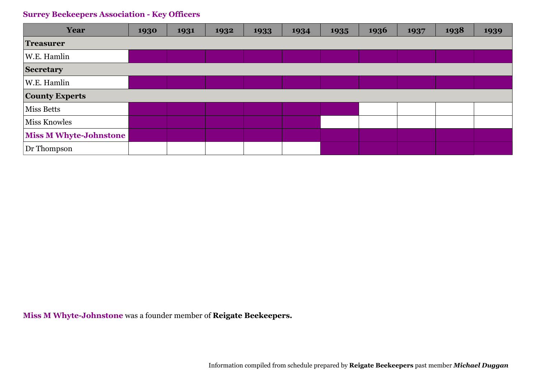| <b>Year</b>                   | 1930 | 1931 | 1932 | 1933 | 1934 | 1935 | 1936 | 1937 | 1938 | 1939 |
|-------------------------------|------|------|------|------|------|------|------|------|------|------|
| <b>Treasurer</b>              |      |      |      |      |      |      |      |      |      |      |
| W.E. Hamlin                   |      |      |      |      |      |      |      |      |      |      |
| <b>Secretary</b>              |      |      |      |      |      |      |      |      |      |      |
| W.E. Hamlin                   |      |      |      |      |      |      |      |      |      |      |
| <b>County Experts</b>         |      |      |      |      |      |      |      |      |      |      |
| <b>Miss Betts</b>             |      |      |      |      |      |      |      |      |      |      |
| <b>Miss Knowles</b>           |      |      |      |      |      |      |      |      |      |      |
| <b>Miss M Whyte-Johnstone</b> |      |      |      |      |      |      |      |      |      |      |
| Dr Thompson                   |      |      |      |      |      |      |      |      |      |      |

**Miss M Whyte-Johnstone** was a founder member of **Reigate Beekeepers.**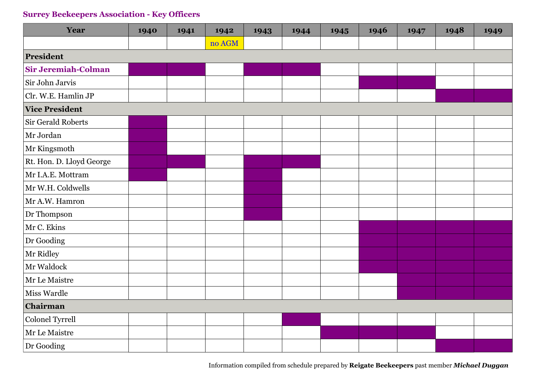| Year                       | 1940 | 1941 | 1942   | 1943 | 1944 | 1945 | 1946 | 1947 | 1948 | 1949 |
|----------------------------|------|------|--------|------|------|------|------|------|------|------|
|                            |      |      | no AGM |      |      |      |      |      |      |      |
| President                  |      |      |        |      |      |      |      |      |      |      |
| <b>Sir Jeremiah-Colman</b> |      |      |        |      |      |      |      |      |      |      |
| Sir John Jarvis            |      |      |        |      |      |      |      |      |      |      |
| Clr. W.E. Hamlin JP        |      |      |        |      |      |      |      |      |      |      |
| <b>Vice President</b>      |      |      |        |      |      |      |      |      |      |      |
| Sir Gerald Roberts         |      |      |        |      |      |      |      |      |      |      |
| Mr Jordan                  |      |      |        |      |      |      |      |      |      |      |
| Mr Kingsmoth               |      |      |        |      |      |      |      |      |      |      |
| Rt. Hon. D. Lloyd George   |      |      |        |      |      |      |      |      |      |      |
| Mr I.A.E. Mottram          |      |      |        |      |      |      |      |      |      |      |
| Mr W.H. Coldwells          |      |      |        |      |      |      |      |      |      |      |
| Mr A.W. Hamron             |      |      |        |      |      |      |      |      |      |      |
| Dr Thompson                |      |      |        |      |      |      |      |      |      |      |
| Mr C. Ekins                |      |      |        |      |      |      |      |      |      |      |
| Dr Gooding                 |      |      |        |      |      |      |      |      |      |      |
| Mr Ridley                  |      |      |        |      |      |      |      |      |      |      |
| Mr Waldock                 |      |      |        |      |      |      |      |      |      |      |
| Mr Le Maistre              |      |      |        |      |      |      |      |      |      |      |
| Miss Wardle                |      |      |        |      |      |      |      |      |      |      |
| Chairman                   |      |      |        |      |      |      |      |      |      |      |
| Colonel Tyrrell            |      |      |        |      |      |      |      |      |      |      |
| Mr Le Maistre              |      |      |        |      |      |      |      |      |      |      |
| Dr Gooding                 |      |      |        |      |      |      |      |      |      |      |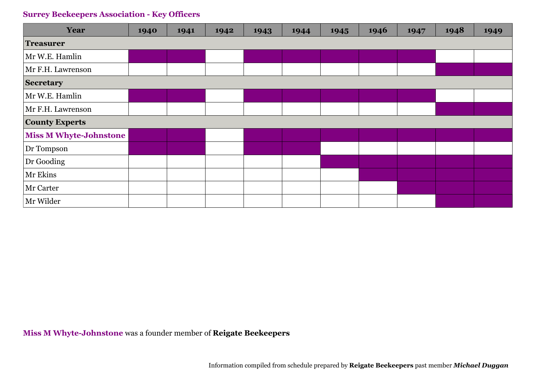| <b>Year</b>                   | 1940 | 1941 | 1942 | 1943 | 1944 | 1945 | 1946 | 1947 | 1948 | 1949 |
|-------------------------------|------|------|------|------|------|------|------|------|------|------|
| <b>Treasurer</b>              |      |      |      |      |      |      |      |      |      |      |
| Mr W.E. Hamlin                |      |      |      |      |      |      |      |      |      |      |
| Mr F.H. Lawrenson             |      |      |      |      |      |      |      |      |      |      |
| <b>Secretary</b>              |      |      |      |      |      |      |      |      |      |      |
| Mr W.E. Hamlin                |      |      |      |      |      |      |      |      |      |      |
| Mr F.H. Lawrenson             |      |      |      |      |      |      |      |      |      |      |
| <b>County Experts</b>         |      |      |      |      |      |      |      |      |      |      |
| <b>Miss M Whyte-Johnstone</b> |      |      |      |      |      |      |      |      |      |      |
| Dr Tompson                    |      |      |      |      |      |      |      |      |      |      |
| Dr Gooding                    |      |      |      |      |      |      |      |      |      |      |
| Mr Ekins                      |      |      |      |      |      |      |      |      |      |      |
| Mr Carter                     |      |      |      |      |      |      |      |      |      |      |
| Mr Wilder                     |      |      |      |      |      |      |      |      |      |      |

### **Miss M Whyte-Johnstone** was a founder member of **Reigate Beekeepers**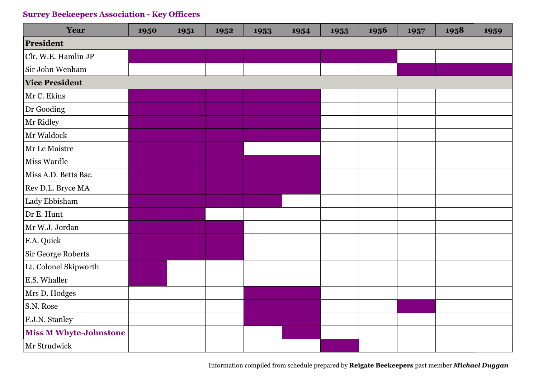| Year                          | 1950 | 1951 | 1952 | 1953 | 1954 | 1955 | 1956 | 1957 | 1958 | 1959 |
|-------------------------------|------|------|------|------|------|------|------|------|------|------|
| President                     |      |      |      |      |      |      |      |      |      |      |
| Clr. W.E. Hamlin JP           |      |      |      |      |      |      |      |      |      |      |
| Sir John Wenham               |      |      |      |      |      |      |      |      |      |      |
| <b>Vice President</b>         |      |      |      |      |      |      |      |      |      |      |
| Mr C. Ekins                   |      |      |      |      |      |      |      |      |      |      |
| Dr Gooding                    |      |      |      |      |      |      |      |      |      |      |
| Mr Ridley                     |      |      |      |      |      |      |      |      |      |      |
| Mr Waldock                    |      |      |      |      |      |      |      |      |      |      |
| Mr Le Maistre                 |      |      |      |      |      |      |      |      |      |      |
| <b>Miss Wardle</b>            |      |      |      |      |      |      |      |      |      |      |
| Miss A.D. Betts Bsc.          |      |      |      |      |      |      |      |      |      |      |
| Rev D.L. Bryce MA             |      |      |      |      |      |      |      |      |      |      |
| Lady Ebbisham                 |      |      |      |      |      |      |      |      |      |      |
| Dr E. Hunt                    |      |      |      |      |      |      |      |      |      |      |
| Mr W.J. Jordan                |      |      |      |      |      |      |      |      |      |      |
| F.A. Quick                    |      |      |      |      |      |      |      |      |      |      |
| Sir George Roberts            |      |      |      |      |      |      |      |      |      |      |
| Lt. Colonel Skipworth         |      |      |      |      |      |      |      |      |      |      |
| E.S. Whaller                  |      |      |      |      |      |      |      |      |      |      |
| Mrs D. Hodges                 |      |      |      |      |      |      |      |      |      |      |
| S.N. Rose                     |      |      |      |      |      |      |      |      |      |      |
| F.J.N. Stanley                |      |      |      |      |      |      |      |      |      |      |
| <b>Miss M Whyte-Johnstone</b> |      |      |      |      |      |      |      |      |      |      |
| Mr Strudwick                  |      |      |      |      |      |      |      |      |      |      |